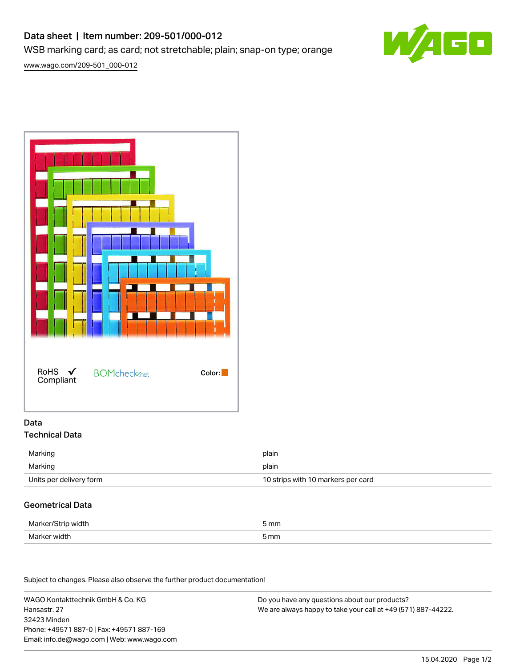## Data sheet | Item number: 209-501/000-012 WSB marking card; as card; not stretchable; plain; snap-on type; orange



[www.wago.com/209-501\\_000-012](http://www.wago.com/209-501_000-012)



#### Data Technical Data

| Marking                 | plain                              |
|-------------------------|------------------------------------|
| Marking                 | plain                              |
| Units per delivery form | 10 strips with 10 markers per card |

### Geometrical Data

| Marker/<br>, width<br>י | mm   |
|-------------------------|------|
| Marker width            | 5 mm |

Subject to changes. Please also observe the further product documentation!

WAGO Kontakttechnik GmbH & Co. KG Hansastr. 27 32423 Minden Phone: +49571 887-0 | Fax: +49571 887-169 Email: info.de@wago.com | Web: www.wago.com

Do you have any questions about our products? We are always happy to take your call at +49 (571) 887-44222.